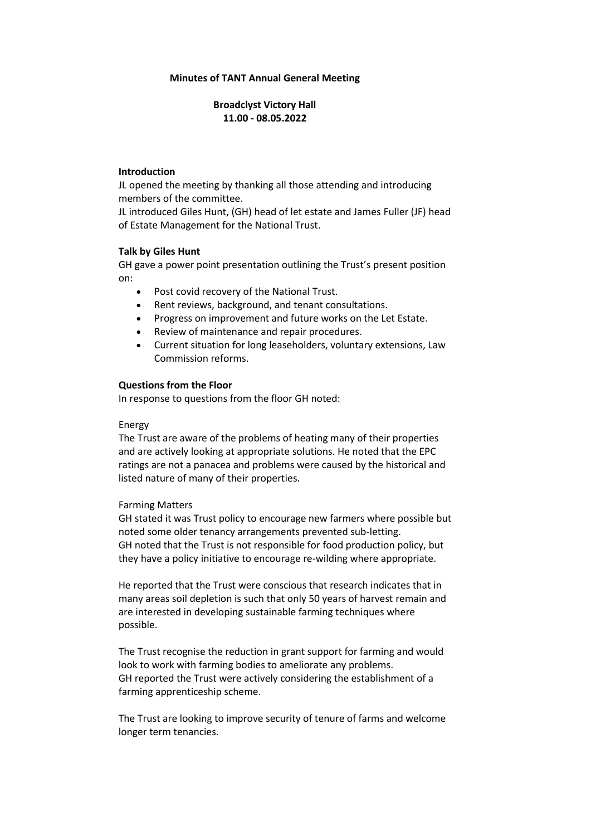### **Minutes of TANT Annual General Meeting**

## **Broadclyst Victory Hall 11.00 - 08.05.2022**

### **Introduction**

JL opened the meeting by thanking all those attending and introducing members of the committee.

JL introduced Giles Hunt, (GH) head of let estate and James Fuller (JF) head of Estate Management for the National Trust.

### **Talk by Giles Hunt**

GH gave a power point presentation outlining the Trust's present position on:

- Post covid recovery of the National Trust.
- Rent reviews, background, and tenant consultations.
- Progress on improvement and future works on the Let Estate.
- Review of maintenance and repair procedures.
- Current situation for long leaseholders, voluntary extensions, Law Commission reforms.

### **Questions from the Floor**

In response to questions from the floor GH noted:

### Energy

The Trust are aware of the problems of heating many of their properties and are actively looking at appropriate solutions. He noted that the EPC ratings are not a panacea and problems were caused by the historical and listed nature of many of their properties.

#### Farming Matters

GH stated it was Trust policy to encourage new farmers where possible but noted some older tenancy arrangements prevented sub-letting. GH noted that the Trust is not responsible for food production policy, but they have a policy initiative to encourage re-wilding where appropriate.

He reported that the Trust were conscious that research indicates that in many areas soil depletion is such that only 50 years of harvest remain and are interested in developing sustainable farming techniques where possible.

The Trust recognise the reduction in grant support for farming and would look to work with farming bodies to ameliorate any problems. GH reported the Trust were actively considering the establishment of a farming apprenticeship scheme.

The Trust are looking to improve security of tenure of farms and welcome longer term tenancies.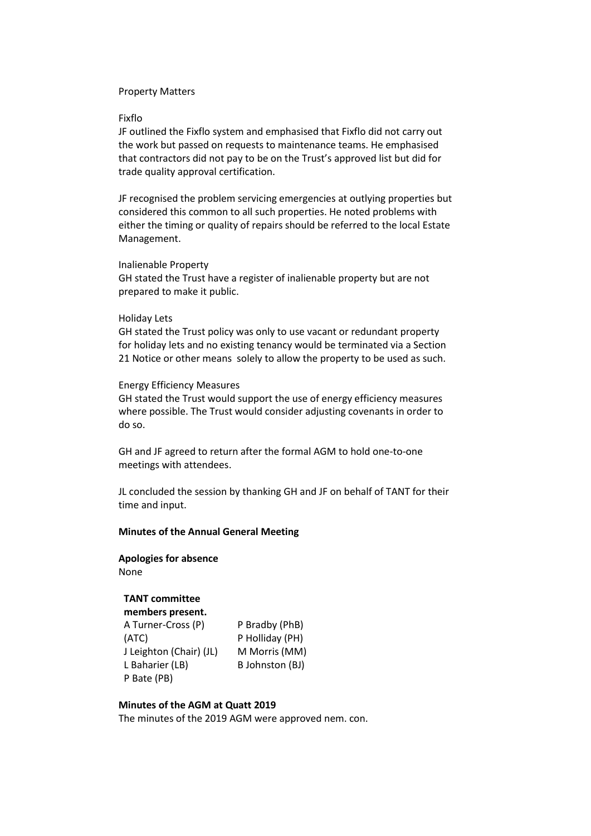### Property Matters

#### Fixflo

JF outlined the Fixflo system and emphasised that Fixflo did not carry out the work but passed on requests to maintenance teams. He emphasised that contractors did not pay to be on the Trust's approved list but did for trade quality approval certification.

JF recognised the problem servicing emergencies at outlying properties but considered this common to all such properties. He noted problems with either the timing or quality of repairs should be referred to the local Estate Management.

#### Inalienable Property

GH stated the Trust have a register of inalienable property but are not prepared to make it public.

#### Holiday Lets

GH stated the Trust policy was only to use vacant or redundant property for holiday lets and no existing tenancy would be terminated via a Section 21 Notice or other means solely to allow the property to be used as such.

### Energy Efficiency Measures

GH stated the Trust would support the use of energy efficiency measures where possible. The Trust would consider adjusting covenants in order to do so.

GH and JF agreed to return after the formal AGM to hold one-to-one meetings with attendees.

JL concluded the session by thanking GH and JF on behalf of TANT for their time and input.

### **Minutes of the Annual General Meeting**

# **Apologies for absence** None

## **TANT committee**

**members present.** A Turner-Cross (P) (ATC) J Leighton (Chair) (JL) L Baharier (LB) P Bate (PB)

P Bradby (PhB) P Holliday (PH) M Morris (MM) B Johnston (BJ)

#### **Minutes of the AGM at Quatt 2019**

The minutes of the 2019 AGM were approved nem. con.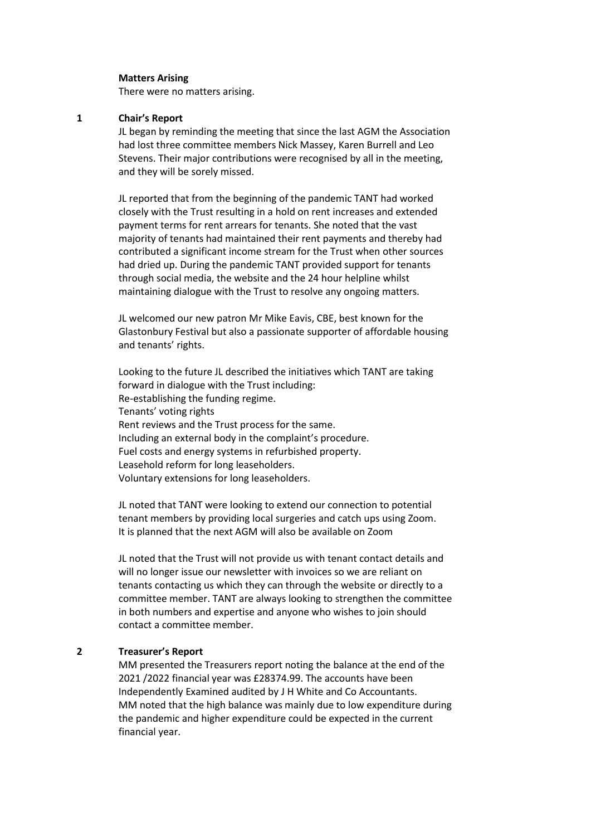#### **Matters Arising**

There were no matters arising.

### **1 Chair's Report**

JL began by reminding the meeting that since the last AGM the Association had lost three committee members Nick Massey, Karen Burrell and Leo Stevens. Their major contributions were recognised by all in the meeting, and they will be sorely missed.

JL reported that from the beginning of the pandemic TANT had worked closely with the Trust resulting in a hold on rent increases and extended payment terms for rent arrears for tenants. She noted that the vast majority of tenants had maintained their rent payments and thereby had contributed a significant income stream for the Trust when other sources had dried up. During the pandemic TANT provided support for tenants through social media, the website and the 24 hour helpline whilst maintaining dialogue with the Trust to resolve any ongoing matters.

JL welcomed our new patron Mr Mike Eavis, CBE, best known for the Glastonbury Festival but also a passionate supporter of affordable housing and tenants' rights.

Looking to the future JL described the initiatives which TANT are taking forward in dialogue with the Trust including: Re-establishing the funding regime. Tenants' voting rights Rent reviews and the Trust process for the same. Including an external body in the complaint's procedure. Fuel costs and energy systems in refurbished property. Leasehold reform for long leaseholders. Voluntary extensions for long leaseholders.

JL noted that TANT were looking to extend our connection to potential tenant members by providing local surgeries and catch ups using Zoom. It is planned that the next AGM will also be available on Zoom

JL noted that the Trust will not provide us with tenant contact details and will no longer issue our newsletter with invoices so we are reliant on tenants contacting us which they can through the website or directly to a committee member. TANT are always looking to strengthen the committee in both numbers and expertise and anyone who wishes to join should contact a committee member.

### **2 Treasurer's Report**

MM presented the Treasurers report noting the balance at the end of the 2021 /2022 financial year was £28374.99. The accounts have been Independently Examined audited by J H White and Co Accountants. MM noted that the high balance was mainly due to low expenditure during the pandemic and higher expenditure could be expected in the current financial year.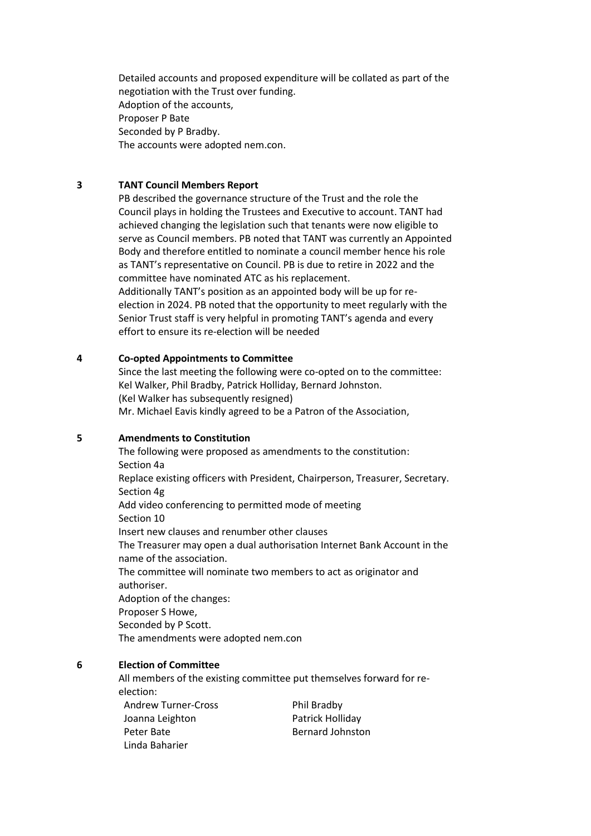Detailed accounts and proposed expenditure will be collated as part of the negotiation with the Trust over funding. Adoption of the accounts, Proposer P Bate Seconded by P Bradby. The accounts were adopted nem.con.

### **3 TANT Council Members Report**

PB described the governance structure of the Trust and the role the Council plays in holding the Trustees and Executive to account. TANT had achieved changing the legislation such that tenants were now eligible to serve as Council members. PB noted that TANT was currently an Appointed Body and therefore entitled to nominate a council member hence his role as TANT's representative on Council. PB is due to retire in 2022 and the committee have nominated ATC as his replacement. Additionally TANT's position as an appointed body will be up for reelection in 2024. PB noted that the opportunity to meet regularly with the Senior Trust staff is very helpful in promoting TANT's agenda and every effort to ensure its re-election will be needed

### **4 Co-opted Appointments to Committee**

Since the last meeting the following were co-opted on to the committee: Kel Walker, Phil Bradby, Patrick Holliday, Bernard Johnston. (Kel Walker has subsequently resigned) Mr. Michael Eavis kindly agreed to be a Patron of the Association,

### **5 Amendments to Constitution**

The following were proposed as amendments to the constitution: Section 4a Replace existing officers with President, Chairperson, Treasurer, Secretary. Section 4g Add video conferencing to permitted mode of meeting Section 10 Insert new clauses and renumber other clauses The Treasurer may open a dual authorisation Internet Bank Account in the name of the association. The committee will nominate two members to act as originator and authoriser. Adoption of the changes: Proposer S Howe, Seconded by P Scott. The amendments were adopted nem.con

## **6 Election of Committee**

Peter Bate Linda Baharier

All members of the existing committee put themselves forward for reelection: Andrew Turner-Cross Joanna Leighton Phil Bradby Patrick Holliday

Bernard Johnston